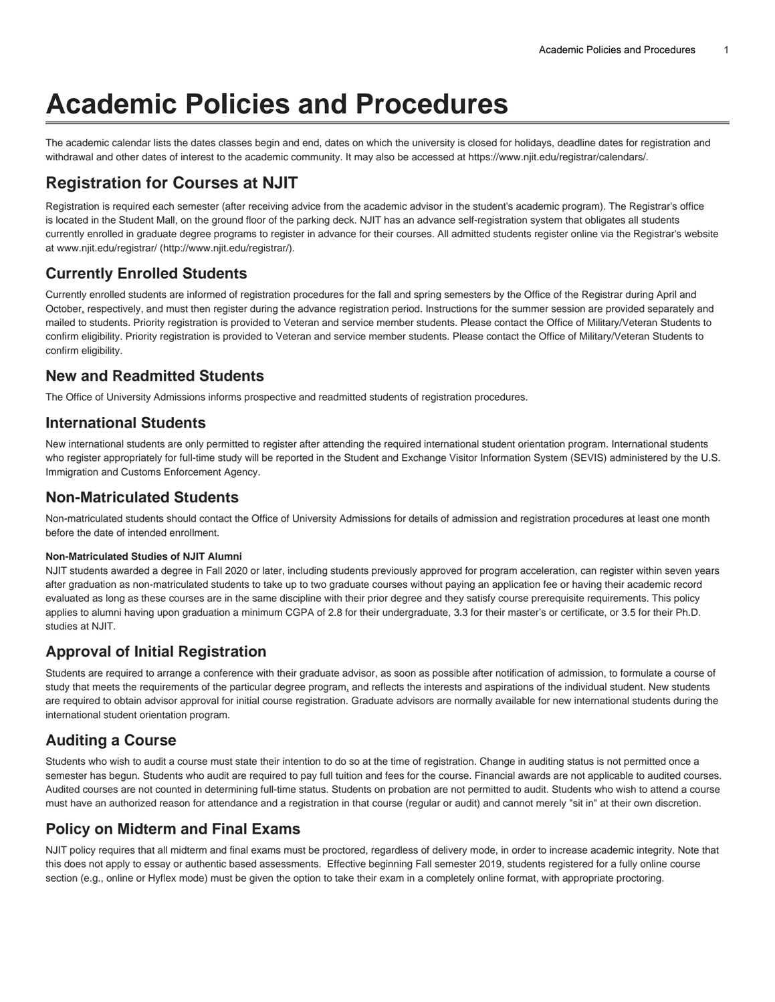# **Academic Policies and Procedures**

The academic calendar lists the dates classes begin and end, dates on which the university is closed for holidays, deadline dates for registration and withdrawal and other dates of interest to the academic community. It may also be accessed at [https://www.njit.edu/registrar/calendars/.](https://www.njit.edu/registrar/calendars/)

# **Registration for Courses at NJIT**

Registration is required each semester (after receiving advice from the academic advisor in the student's academic program). The Registrar's office is located in the Student Mall, on the ground floor of the parking deck. NJIT has an advance self-registration system that obligates all students currently enrolled in graduate degree programs to register in advance for their courses. All admitted students register online via the Registrar's website at [www.njit.edu/registrar/](http://www.njit.edu/registrar/) (<http://www.njit.edu/registrar/>).

# **Currently Enrolled Students**

Currently enrolled students are informed of registration procedures for the fall and spring semesters by the Office of the Registrar during April and October, respectively, and must then register during the advance registration period. Instructions for the summer session are provided separately and mailed to students. Priority registration is provided to Veteran and service member students. Please contact the Office of Military/Veteran Students to confirm eligibility. Priority registration is provided to Veteran and service member students. Please contact the Office of Military/Veteran Students to confirm eligibility.

### **New and Readmitted Students**

The Office of University Admissions informs prospective and readmitted students of registration procedures.

#### **International Students**

New international students are only permitted to register after attending the required international student orientation program. International students who register appropriately for full-time study will be reported in the Student and Exchange Visitor Information System (SEVIS) administered by the U.S. Immigration and Customs Enforcement Agency.

#### **Non-Matriculated Students**

Non-matriculated students should contact the Office of University Admissions for details of admission and registration procedures at least one month before the date of intended enrollment.

#### **Non-Matriculated Studies of NJIT Alumni**

NJIT students awarded a degree in Fall 2020 or later, including students previously approved for program acceleration, can register within seven years after graduation as non-matriculated students to take up to two graduate courses without paying an application fee or having their academic record evaluated as long as these courses are in the same discipline with their prior degree and they satisfy course prerequisite requirements. This policy applies to alumni having upon graduation a minimum CGPA of 2.8 for their undergraduate, 3.3 for their master's or certificate, or 3.5 for their Ph.D. studies at NJIT.

### **Approval of Initial Registration**

Students are required to arrange a conference with their graduate advisor, as soon as possible after notification of admission, to formulate a course of study that meets the requirements of the particular degree program, and reflects the interests and aspirations of the individual student. New students are required to obtain advisor approval for initial course registration. Graduate advisors are normally available for new international students during the international student orientation program.

# **Auditing a Course**

Students who wish to audit a course must state their intention to do so at the time of registration. Change in auditing status is not permitted once a semester has begun. Students who audit are required to pay full tuition and fees for the course. Financial awards are not applicable to audited courses. Audited courses are not counted in determining full-time status. Students on probation are not permitted to audit. Students who wish to attend a course must have an authorized reason for attendance and a registration in that course (regular or audit) and cannot merely "sit in" at their own discretion.

# **Policy on Midterm and Final Exams**

NJIT policy requires that all midterm and final exams must be proctored, regardless of delivery mode, in order to increase academic integrity. Note that this does not apply to essay or authentic based assessments. Effective beginning Fall semester 2019, students registered for a fully online course section (e.g., online or Hyflex mode) must be given the option to take their exam in a completely online format, with appropriate proctoring.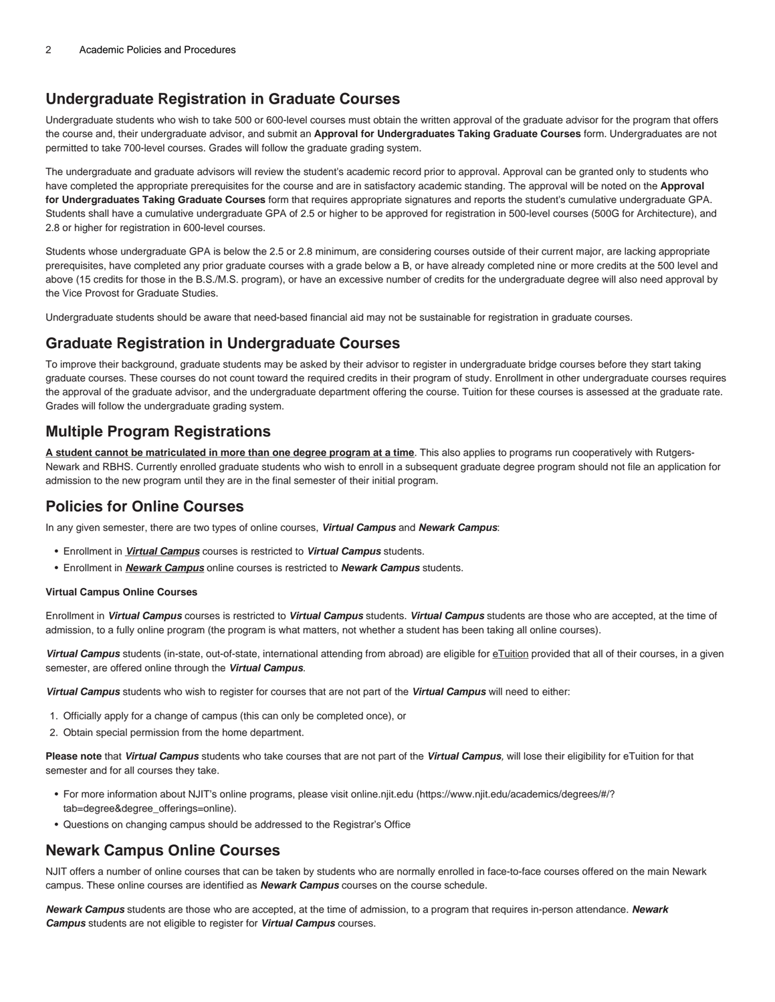### **Undergraduate Registration in Graduate Courses**

Undergraduate students who wish to take 500 or 600-level courses must obtain the written approval of the graduate advisor for the program that offers the course and, their undergraduate advisor, and submit an **Approval for Undergraduates Taking Graduate Courses** form. Undergraduates are not permitted to take 700-level courses. Grades will follow the graduate grading system.

The undergraduate and graduate advisors will review the student's academic record prior to approval. Approval can be granted only to students who have completed the appropriate prerequisites for the course and are in satisfactory academic standing. The approval will be noted on the **Approval for Undergraduates Taking Graduate Courses** form that requires appropriate signatures and reports the student's cumulative undergraduate GPA. Students shall have a cumulative undergraduate GPA of 2.5 or higher to be approved for registration in 500-level courses (500G for Architecture), and 2.8 or higher for registration in 600-level courses.

Students whose undergraduate GPA is below the 2.5 or 2.8 minimum, are considering courses outside of their current major, are lacking appropriate prerequisites, have completed any prior graduate courses with a grade below a B, or have already completed nine or more credits at the 500 level and above (15 credits for those in the B.S./M.S. program), or have an excessive number of credits for the undergraduate degree will also need approval by the Vice Provost for Graduate Studies.

Undergraduate students should be aware that need-based financial aid may not be sustainable for registration in graduate courses.

#### **Graduate Registration in Undergraduate Courses**

To improve their background, graduate students may be asked by their advisor to register in undergraduate bridge courses before they start taking graduate courses. These courses do not count toward the required credits in their program of study. Enrollment in other undergraduate courses requires the approval of the graduate advisor, and the undergraduate department offering the course. Tuition for these courses is assessed at the graduate rate. Grades will follow the undergraduate grading system.

#### **Multiple Program Registrations**

**A student cannot be matriculated in more than one degree program at a time**. This also applies to programs run cooperatively with Rutgers-Newark and RBHS. Currently enrolled graduate students who wish to enroll in a subsequent graduate degree program should not file an application for admission to the new program until they are in the final semester of their initial program.

#### **Policies for Online Courses**

In any given semester, there are two types of online courses, **Virtual Campus** and **Newark Campus**:

- Enrollment in **Virtual Campus** courses is restricted to **Virtual Campus** students.
- Enrollment in **Newark Campus** online courses is restricted to **Newark Campus** students.

#### **Virtual Campus Online Courses**

Enrollment in **Virtual Campus** courses is restricted to **Virtual Campus** students. **Virtual Campus** students are those who are accepted, at the time of admission, to a fully online program (the program is what matters, not whether a student has been taking all online courses).

**Virtual Campus** students (in-state, out-of-state, international attending from abroad) are eligible for eTuition provided that all of their courses, in a given semester, are offered online through the **Virtual Campus**.

**Virtual Campus** students who wish to register for courses that are not part of the **Virtual Campus** will need to either:

- 1. Officially apply for a change of campus (this can only be completed once), or
- 2. Obtain special permission from the home department.

**Please note** that **Virtual Campus** students who take courses that are not part of the **Virtual Campus**, will lose their eligibility for eTuition for that semester and for all courses they take.

- For more information about NJIT's online programs, please visit [online.njit.edu \(https://www.njit.edu/academics/degrees/#/?](https://www.njit.edu/academics/degrees/#/?tab=degree°ree_offerings=online) [tab=degree&degree\\_offerings=online](https://www.njit.edu/academics/degrees/#/?tab=degree°ree_offerings=online)).
- Questions on changing campus should be addressed to the Registrar's Office

### **Newark Campus Online Courses**

NJIT offers a number of online courses that can be taken by students who are normally enrolled in face-to-face courses offered on the main Newark campus. These online courses are identified as **Newark Campus** courses on the course schedule.

**Newark Campus** students are those who are accepted, at the time of admission, to a program that requires in-person attendance. **Newark Campus** students are not eligible to register for **Virtual Campus** courses.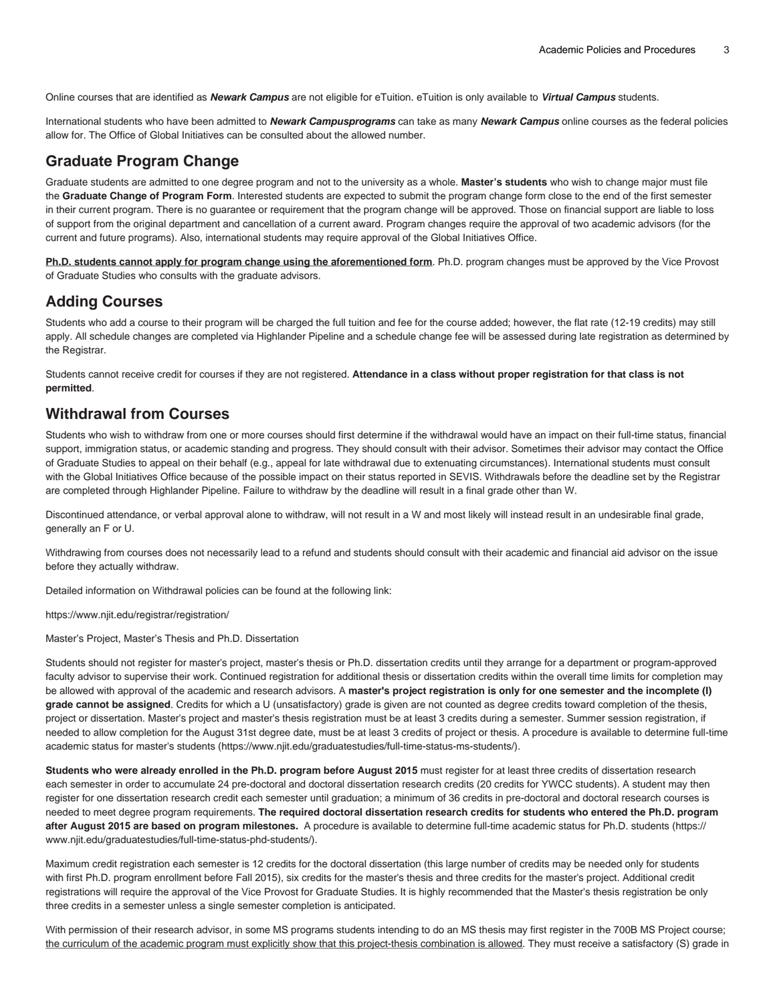Online courses that are identified as **Newark Campus** are not eligible for eTuition. eTuition is only available to **Virtual Campus** students.

International students who have been admitted to **Newark Campusprograms** can take as many **Newark Campus** online courses as the federal policies allow for. The Office of Global Initiatives can be consulted about the allowed number.

#### **Graduate Program Change**

Graduate students are admitted to one degree program and not to the university as a whole. **Master's students** who wish to change major must file the **Graduate Change of Program Form**. Interested students are expected to submit the program change form close to the end of the first semester in their current program. There is no guarantee or requirement that the program change will be approved. Those on financial support are liable to loss of support from the original department and cancellation of a current award. Program changes require the approval of two academic advisors (for the current and future programs). Also, international students may require approval of the Global Initiatives Office.

**Ph.D. students cannot apply for program change using the aforementioned form**. Ph.D. program changes must be approved by the Vice Provost of Graduate Studies who consults with the graduate advisors.

### **Adding Courses**

Students who add a course to their program will be charged the full tuition and fee for the course added; however, the flat rate (12-19 credits) may still apply. All schedule changes are completed via Highlander Pipeline and a schedule change fee will be assessed during late registration as determined by the Registrar.

Students cannot receive credit for courses if they are not registered. **Attendance in a class without proper registration for that class is not permitted**.

#### **Withdrawal from Courses**

Students who wish to withdraw from one or more courses should first determine if the withdrawal would have an impact on their full-time status, financial support, immigration status, or academic standing and progress. They should consult with their advisor. Sometimes their advisor may contact the Office of Graduate Studies to appeal on their behalf (e.g., appeal for late withdrawal due to extenuating circumstances). International students must consult with the Global Initiatives Office because of the possible impact on their status reported in SEVIS. Withdrawals before the deadline set by the Registrar are completed through Highlander Pipeline. Failure to withdraw by the deadline will result in a final grade other than W.

Discontinued attendance, or verbal approval alone to withdraw, will not result in a W and most likely will instead result in an undesirable final grade, generally an F or U.

Withdrawing from courses does not necessarily lead to a refund and students should consult with their academic and financial aid advisor on the issue before they actually withdraw.

Detailed information on Withdrawal policies can be found at the following link:

<https://www.njit.edu/registrar/registration/>

Master's Project, Master's Thesis and Ph.D. Dissertation

Students should not register for master's project, master's thesis or Ph.D. dissertation credits until they arrange for a department or program-approved faculty advisor to supervise their work. Continued registration for additional thesis or dissertation credits within the overall time limits for completion may be allowed with approval of the academic and research advisors. A **master's project registration is only for one semester and the incomplete (I) grade cannot be assigned**. Credits for which a U (unsatisfactory) grade is given are not counted as degree credits toward completion of the thesis, project or dissertation. Master's project and master's thesis registration must be at least 3 credits during a semester. Summer session registration, if needed to allow completion for the August 31st degree date, must be at least 3 credits of project or thesis. A procedure is available to determine [full-time](https://www.njit.edu/graduatestudies/full-time-status-ms-students/) [academic status for master's students](https://www.njit.edu/graduatestudies/full-time-status-ms-students/) (<https://www.njit.edu/graduatestudies/full-time-status-ms-students/>).

**Students who were already enrolled in the Ph.D. program before August 2015** must register for at least three credits of dissertation research each semester in order to accumulate 24 pre-doctoral and doctoral dissertation research credits (20 credits for YWCC students). A student may then register for one dissertation research credit each semester until graduation; a minimum of 36 credits in pre-doctoral and doctoral research courses is needed to meet degree program requirements. **The required doctoral dissertation research credits for students who entered the Ph.D. program after August 2015 are based on program milestones.** A procedure is available to determine [full-time academic status for Ph.D. students](https://www.njit.edu/graduatestudies/full-time-status-phd-students/) ([https://](https://www.njit.edu/graduatestudies/full-time-status-phd-students/) [www.njit.edu/graduatestudies/full-time-status-phd-students/\)](https://www.njit.edu/graduatestudies/full-time-status-phd-students/).

Maximum credit registration each semester is 12 credits for the doctoral dissertation (this large number of credits may be needed only for students with first Ph.D. program enrollment before Fall 2015), six credits for the master's thesis and three credits for the master's project. Additional credit registrations will require the approval of the Vice Provost for Graduate Studies. It is highly recommended that the Master's thesis registration be only three credits in a semester unless a single semester completion is anticipated.

With permission of their research advisor, in some MS programs students intending to do an MS thesis may first register in the 700B MS Project course; the curriculum of the academic program must explicitly show that this project-thesis combination is allowed. They must receive a satisfactory (S) grade in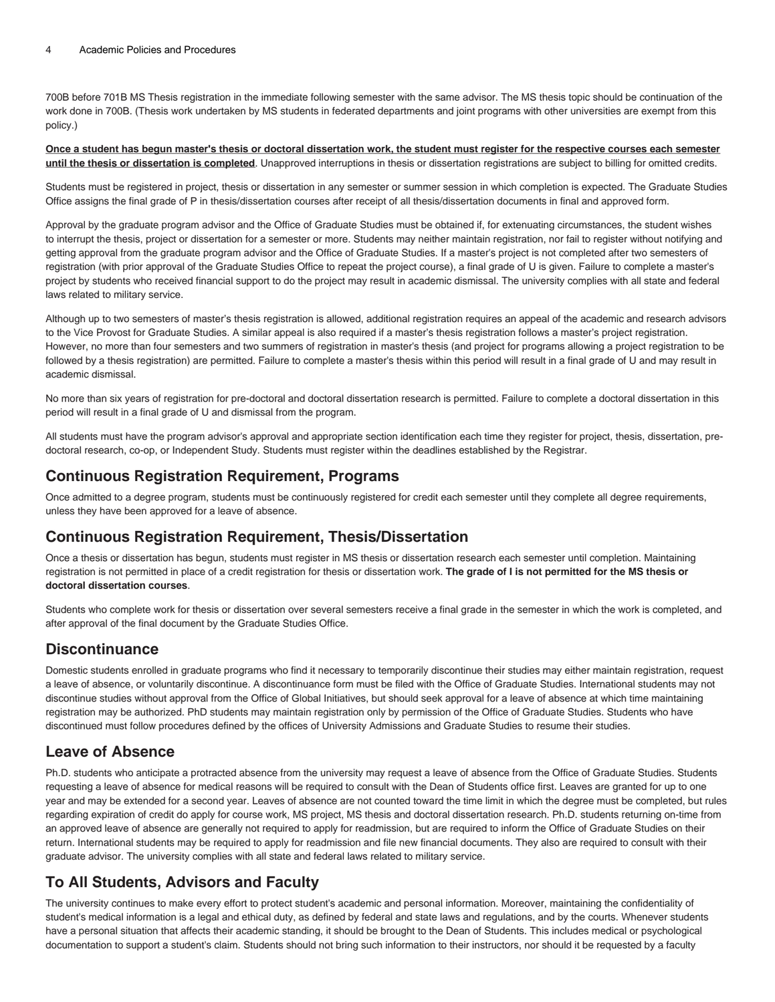700B before 701B MS Thesis registration in the immediate following semester with the same advisor. The MS thesis topic should be continuation of the work done in 700B. (Thesis work undertaken by MS students in federated departments and joint programs with other universities are exempt from this policy.)

#### **Once a student has begun master's thesis or doctoral dissertation work, the student must register for the respective courses each semester until the thesis or dissertation is completed**. Unapproved interruptions in thesis or dissertation registrations are subject to billing for omitted credits.

Students must be registered in project, thesis or dissertation in any semester or summer session in which completion is expected. The Graduate Studies Office assigns the final grade of P in thesis/dissertation courses after receipt of all thesis/dissertation documents in final and approved form.

Approval by the graduate program advisor and the Office of Graduate Studies must be obtained if, for extenuating circumstances, the student wishes to interrupt the thesis, project or dissertation for a semester or more. Students may neither maintain registration, nor fail to register without notifying and getting approval from the graduate program advisor and the Office of Graduate Studies. If a master's project is not completed after two semesters of registration (with prior approval of the Graduate Studies Office to repeat the project course), a final grade of U is given. Failure to complete a master's project by students who received financial support to do the project may result in academic dismissal. The university complies with all state and federal laws related to military service.

Although up to two semesters of master's thesis registration is allowed, additional registration requires an appeal of the academic and research advisors to the Vice Provost for Graduate Studies. A similar appeal is also required if a master's thesis registration follows a master's project registration. However, no more than four semesters and two summers of registration in master's thesis (and project for programs allowing a project registration to be followed by a thesis registration) are permitted. Failure to complete a master's thesis within this period will result in a final grade of U and may result in academic dismissal.

No more than six years of registration for pre-doctoral and doctoral dissertation research is permitted. Failure to complete a doctoral dissertation in this period will result in a final grade of U and dismissal from the program.

All students must have the program advisor's approval and appropriate section identification each time they register for project, thesis, dissertation, predoctoral research, co-op, or Independent Study. Students must register within the deadlines established by the Registrar.

#### **Continuous Registration Requirement, Programs**

Once admitted to a degree program, students must be continuously registered for credit each semester until they complete all degree requirements, unless they have been approved for a leave of absence.

### **Continuous Registration Requirement, Thesis/Dissertation**

Once a thesis or dissertation has begun, students must register in MS thesis or dissertation research each semester until completion. Maintaining registration is not permitted in place of a credit registration for thesis or dissertation work. **The grade of I is not permitted for the MS thesis or doctoral dissertation courses**.

Students who complete work for thesis or dissertation over several semesters receive a final grade in the semester in which the work is completed, and after approval of the final document by the Graduate Studies Office.

### **Discontinuance**

Domestic students enrolled in graduate programs who find it necessary to temporarily discontinue their studies may either maintain registration, request a leave of absence, or voluntarily discontinue. A discontinuance form must be filed with the Office of Graduate Studies. International students may not discontinue studies without approval from the Office of Global Initiatives, but should seek approval for a leave of absence at which time maintaining registration may be authorized. PhD students may maintain registration only by permission of the Office of Graduate Studies. Students who have discontinued must follow procedures defined by the offices of University Admissions and Graduate Studies to resume their studies.

### **Leave of Absence**

Ph.D. students who anticipate a protracted absence from the university may request a leave of absence from the Office of Graduate Studies. Students requesting a leave of absence for medical reasons will be required to consult with the Dean of Students office first. Leaves are granted for up to one year and may be extended for a second year. Leaves of absence are not counted toward the time limit in which the degree must be completed, but rules regarding expiration of credit do apply for course work, MS project, MS thesis and doctoral dissertation research. Ph.D. students returning on-time from an approved leave of absence are generally not required to apply for readmission, but are required to inform the Office of Graduate Studies on their return. International students may be required to apply for readmission and file new financial documents. They also are required to consult with their graduate advisor. The university complies with all state and federal laws related to military service.

### **To All Students, Advisors and Faculty**

The university continues to make every effort to protect student's academic and personal information. Moreover, maintaining the confidentiality of student's medical information is a legal and ethical duty, as defined by federal and state laws and regulations, and by the courts. Whenever students have a personal situation that affects their academic standing, it should be brought to the Dean of Students. This includes medical or psychological documentation to support a student's claim. Students should not bring such information to their instructors, nor should it be requested by a faculty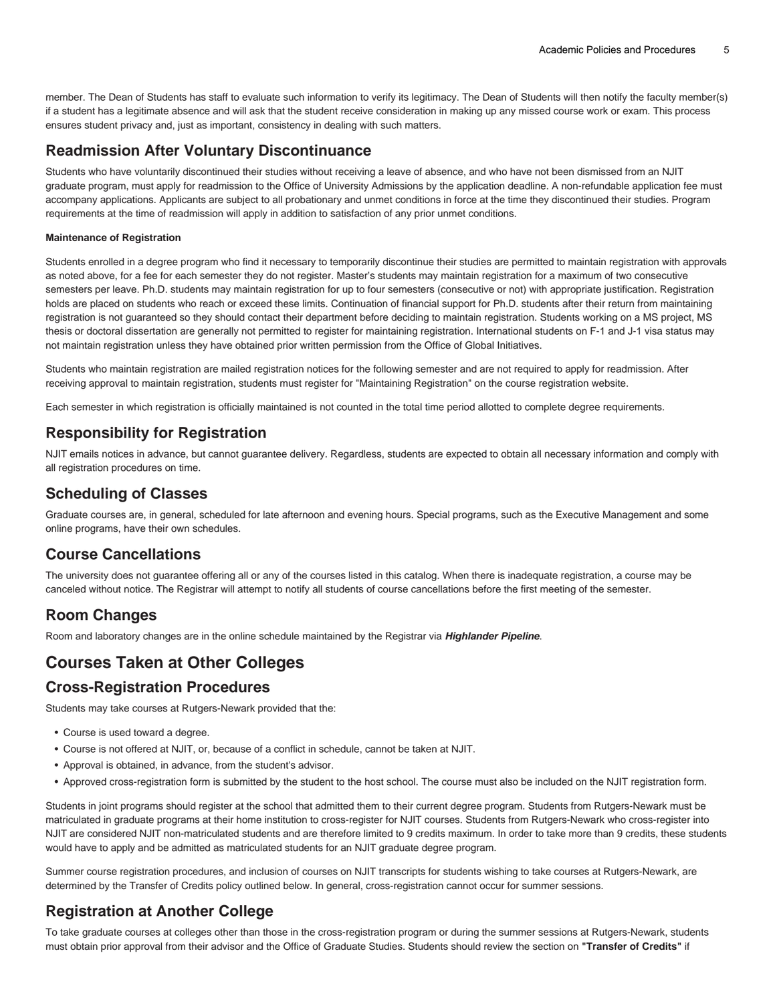member. The Dean of Students has staff to evaluate such information to verify its legitimacy. The Dean of Students will then notify the faculty member(s) if a student has a legitimate absence and will ask that the student receive consideration in making up any missed course work or exam. This process ensures student privacy and, just as important, consistency in dealing with such matters.

### **Readmission After Voluntary Discontinuance**

Students who have voluntarily discontinued their studies without receiving a leave of absence, and who have not been dismissed from an NJIT graduate program, must apply for readmission to the Office of University Admissions by the application deadline. A non-refundable application fee must accompany applications. Applicants are subject to all probationary and unmet conditions in force at the time they discontinued their studies. Program requirements at the time of readmission will apply in addition to satisfaction of any prior unmet conditions.

#### **Maintenance of Registration**

Students enrolled in a degree program who find it necessary to temporarily discontinue their studies are permitted to maintain registration with approvals as noted above, for a fee for each semester they do not register. Master's students may maintain registration for a maximum of two consecutive semesters per leave. Ph.D. students may maintain registration for up to four semesters (consecutive or not) with appropriate justification. Registration holds are placed on students who reach or exceed these limits. Continuation of financial support for Ph.D. students after their return from maintaining registration is not guaranteed so they should contact their department before deciding to maintain registration. Students working on a MS project, MS thesis or doctoral dissertation are generally not permitted to register for maintaining registration. International students on F-1 and J-1 visa status may not maintain registration unless they have obtained prior written permission from the Office of Global Initiatives.

Students who maintain registration are mailed registration notices for the following semester and are not required to apply for readmission. After receiving approval to maintain registration, students must register for "Maintaining Registration" on the course registration website.

Each semester in which registration is officially maintained is not counted in the total time period allotted to complete degree requirements.

### **Responsibility for Registration**

NJIT emails notices in advance, but cannot guarantee delivery. Regardless, students are expected to obtain all necessary information and comply with all registration procedures on time.

### **Scheduling of Classes**

Graduate courses are, in general, scheduled for late afternoon and evening hours. Special programs, such as the Executive Management and some online programs, have their own schedules.

### **Course Cancellations**

The university does not guarantee offering all or any of the courses listed in this catalog. When there is inadequate registration, a course may be canceled without notice. The Registrar will attempt to notify all students of course cancellations before the first meeting of the semester.

# **Room Changes**

Room and laboratory changes are in the online schedule maintained by the Registrar via **Highlander Pipeline**.

# **Courses Taken at Other Colleges**

#### **Cross-Registration Procedures**

Students may take courses at Rutgers-Newark provided that the:

- Course is used toward a degree.
- Course is not offered at NJIT, or, because of a conflict in schedule, cannot be taken at NJIT.
- Approval is obtained, in advance, from the student's advisor.
- Approved cross-registration form is submitted by the student to the host school. The course must also be included on the NJIT registration form.

Students in joint programs should register at the school that admitted them to their current degree program. Students from Rutgers-Newark must be matriculated in graduate programs at their home institution to cross-register for NJIT courses. Students from Rutgers-Newark who cross-register into NJIT are considered NJIT non-matriculated students and are therefore limited to 9 credits maximum. In order to take more than 9 credits, these students would have to apply and be admitted as matriculated students for an NJIT graduate degree program.

Summer course registration procedures, and inclusion of courses on NJIT transcripts for students wishing to take courses at Rutgers-Newark, are determined by the Transfer of Credits policy outlined below. In general, cross-registration cannot occur for summer sessions.

# **Registration at Another College**

To take graduate courses at colleges other than those in the cross-registration program or during the summer sessions at Rutgers-Newark, students must obtain prior approval from their advisor and the Office of Graduate Studies. Students should review the section on **"Transfer of Credits"** if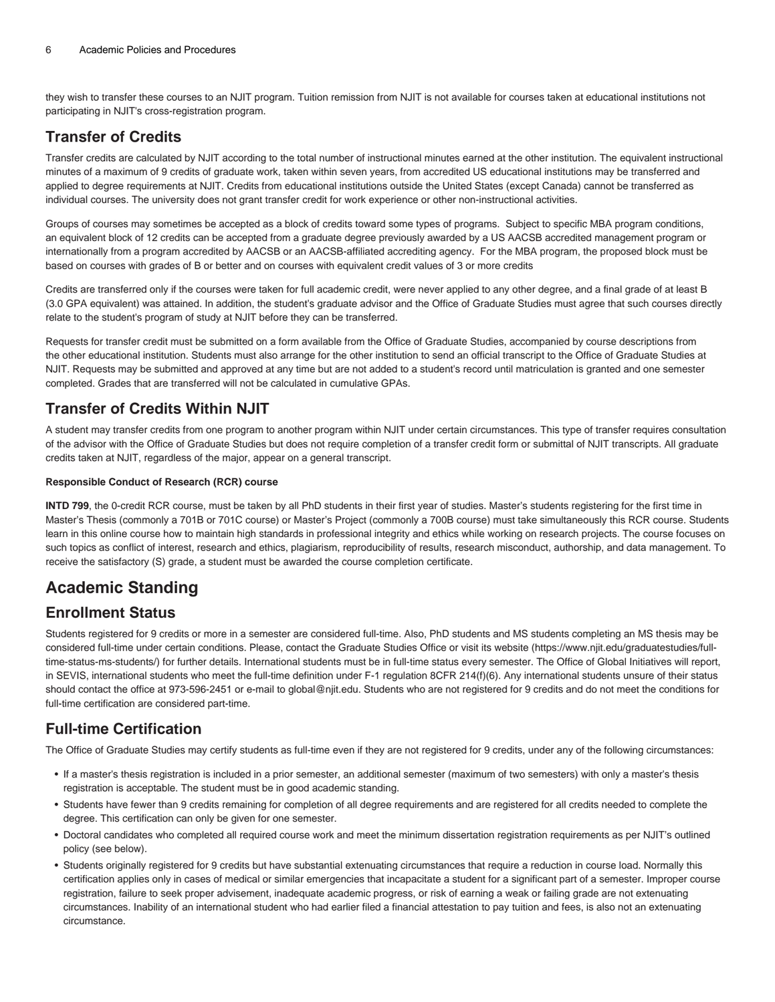they wish to transfer these courses to an NJIT program. Tuition remission from NJIT is not available for courses taken at educational institutions not participating in NJIT's cross-registration program.

# **Transfer of Credits**

Transfer credits are calculated by NJIT according to the total number of instructional minutes earned at the other institution. The equivalent instructional minutes of a maximum of 9 credits of graduate work, taken within seven years, from accredited US educational institutions may be transferred and applied to degree requirements at NJIT. Credits from educational institutions outside the United States (except Canada) cannot be transferred as individual courses. The university does not grant transfer credit for work experience or other non-instructional activities.

Groups of courses may sometimes be accepted as a block of credits toward some types of programs. Subject to specific MBA program conditions, an equivalent block of 12 credits can be accepted from a graduate degree previously awarded by a US AACSB accredited management program or internationally from a program accredited by AACSB or an AACSB-affiliated accrediting agency. For the MBA program, the proposed block must be based on courses with grades of B or better and on courses with equivalent credit values of 3 or more credits

Credits are transferred only if the courses were taken for full academic credit, were never applied to any other degree, and a final grade of at least B (3.0 GPA equivalent) was attained. In addition, the student's graduate advisor and the Office of Graduate Studies must agree that such courses directly relate to the student's program of study at NJIT before they can be transferred.

Requests for transfer credit must be submitted on a form available from the Office of Graduate Studies, accompanied by course descriptions from the other educational institution. Students must also arrange for the other institution to send an official transcript to the Office of Graduate Studies at NJIT. Requests may be submitted and approved at any time but are not added to a student's record until matriculation is granted and one semester completed. Grades that are transferred will not be calculated in cumulative GPAs.

# **Transfer of Credits Within NJIT**

A student may transfer credits from one program to another program within NJIT under certain circumstances. This type of transfer requires consultation of the advisor with the Office of Graduate Studies but does not require completion of a transfer credit form or submittal of NJIT transcripts. All graduate credits taken at NJIT, regardless of the major, appear on a general transcript.

#### **Responsible Conduct of Research (RCR) course**

**INTD 799**, the 0-credit RCR course, must be taken by all PhD students in their first year of studies. Master's students registering for the first time in Master's Thesis (commonly a 701B or 701C course) or Master's Project (commonly a 700B course) must take simultaneously this RCR course. Students learn in this online course how to maintain high standards in professional integrity and ethics while working on research projects. The course focuses on such topics as conflict of interest, research and ethics, plagiarism, reproducibility of results, research misconduct, authorship, and data management. To receive the satisfactory (S) grade, a student must be awarded the course completion certificate.

# **Academic Standing**

# **Enrollment Status**

Students registered for 9 credits or more in a semester are considered full-time. Also, PhD students and MS students completing an MS thesis may be considered full-time under certain conditions. Please, contact the Graduate Studies Office or visit its [website](https://www.njit.edu/graduatestudies/full-time-status-ms-students/) [\(https://www.njit.edu/graduatestudies/full](https://www.njit.edu/graduatestudies/full-time-status-ms-students/)[time-status-ms-students/\)](https://www.njit.edu/graduatestudies/full-time-status-ms-students/) for further details. International students must be in full-time status every semester. The Office of Global Initiatives will report, in SEVIS, international students who meet the full-time definition under F-1 regulation 8CFR 214(f)(6). Any international students unsure of their status should contact the office at 973-596-2451 or e-mail to [global@njit.edu.](mailto:global@njit.edu) Students who are not registered for 9 credits and do not meet the conditions for full-time certification are considered part-time.

# **Full-time Certification**

The Office of Graduate Studies may certify students as full-time even if they are not registered for 9 credits, under any of the following circumstances:

- If a master's thesis registration is included in a prior semester, an additional semester (maximum of two semesters) with only a master's thesis registration is acceptable. The student must be in good academic standing.
- Students have fewer than 9 credits remaining for completion of all degree requirements and are registered for all credits needed to complete the degree. This certification can only be given for one semester.
- Doctoral candidates who completed all required course work and meet the minimum dissertation registration requirements as per NJIT's outlined policy (see below).
- Students originally registered for 9 credits but have substantial extenuating circumstances that require a reduction in course load. Normally this certification applies only in cases of medical or similar emergencies that incapacitate a student for a significant part of a semester. Improper course registration, failure to seek proper advisement, inadequate academic progress, or risk of earning a weak or failing grade are not extenuating circumstances. Inability of an international student who had earlier filed a financial attestation to pay tuition and fees, is also not an extenuating circumstance.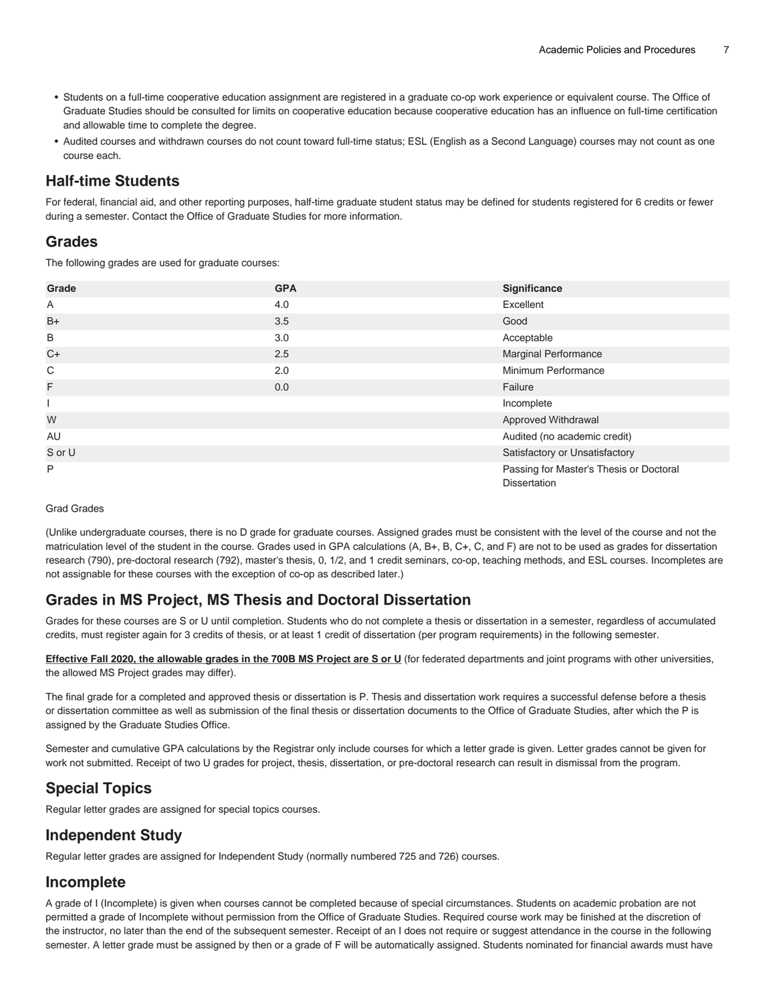- Students on a full-time cooperative education assignment are registered in a graduate co-op work experience or equivalent course. The Office of Graduate Studies should be consulted for limits on cooperative education because cooperative education has an influence on full-time certification and allowable time to complete the degree.
- Audited courses and withdrawn courses do not count toward full-time status; ESL (English as a Second Language) courses may not count as one course each.

#### **Half-time Students**

For federal, financial aid, and other reporting purposes, half-time graduate student status may be defined for students registered for 6 credits or fewer during a semester. Contact the Office of Graduate Studies for more information.

#### **Grades**

The following grades are used for graduate courses:

| Grade  | <b>GPA</b> | Significance                                                   |
|--------|------------|----------------------------------------------------------------|
| A      | 4.0        | Excellent                                                      |
| $B+$   | 3.5        | Good                                                           |
| B      | 3.0        | Acceptable                                                     |
| $C+$   | 2.5        | Marginal Performance                                           |
| C      | 2.0        | Minimum Performance                                            |
| F      | 0.0        | Failure                                                        |
|        |            | Incomplete                                                     |
| W      |            | Approved Withdrawal                                            |
| AU     |            | Audited (no academic credit)                                   |
| S or U |            | Satisfactory or Unsatisfactory                                 |
| P      |            | Passing for Master's Thesis or Doctoral<br><b>Dissertation</b> |

#### Grad Grades

(Unlike undergraduate courses, there is no D grade for graduate courses. Assigned grades must be consistent with the level of the course and not the matriculation level of the student in the course. Grades used in GPA calculations (A, B+, B, C+, C, and F) are not to be used as grades for dissertation research (790), pre-doctoral research (792), master's thesis, 0, 1/2, and 1 credit seminars, co-op, teaching methods, and ESL courses. Incompletes are not assignable for these courses with the exception of co-op as described later.)

### **Grades in MS Project, MS Thesis and Doctoral Dissertation**

Grades for these courses are S or U until completion. Students who do not complete a thesis or dissertation in a semester, regardless of accumulated credits, must register again for 3 credits of thesis, or at least 1 credit of dissertation (per program requirements) in the following semester.

**Effective Fall 2020, the allowable grades in the 700B MS Project are S or U** (for federated departments and joint programs with other universities, the allowed MS Project grades may differ).

The final grade for a completed and approved thesis or dissertation is P. Thesis and dissertation work requires a successful defense before a thesis or dissertation committee as well as submission of the final thesis or dissertation documents to the Office of Graduate Studies, after which the P is assigned by the Graduate Studies Office.

Semester and cumulative GPA calculations by the Registrar only include courses for which a letter grade is given. Letter grades cannot be given for work not submitted. Receipt of two U grades for project, thesis, dissertation, or pre-doctoral research can result in dismissal from the program.

# **Special Topics**

Regular letter grades are assigned for special topics courses.

### **Independent Study**

Regular letter grades are assigned for Independent Study (normally numbered 725 and 726) courses.

### **Incomplete**

A grade of I (Incomplete) is given when courses cannot be completed because of special circumstances. Students on academic probation are not permitted a grade of Incomplete without permission from the Office of Graduate Studies. Required course work may be finished at the discretion of the instructor, no later than the end of the subsequent semester. Receipt of an I does not require or suggest attendance in the course in the following semester. A letter grade must be assigned by then or a grade of F will be automatically assigned. Students nominated for financial awards must have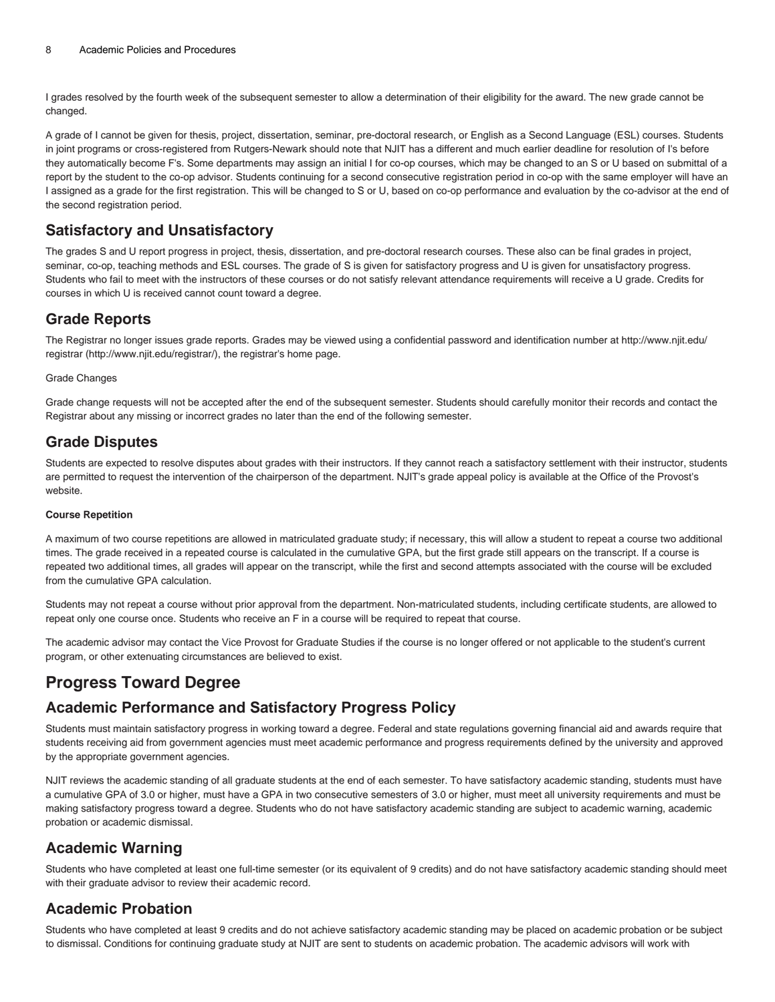I grades resolved by the fourth week of the subsequent semester to allow a determination of their eligibility for the award. The new grade cannot be changed.

A grade of I cannot be given for thesis, project, dissertation, seminar, pre-doctoral research, or English as a Second Language (ESL) courses. Students in joint programs or cross-registered from Rutgers-Newark should note that NJIT has a different and much earlier deadline for resolution of I's before they automatically become F's. Some departments may assign an initial I for co-op courses, which may be changed to an S or U based on submittal of a report by the student to the co-op advisor. Students continuing for a second consecutive registration period in co-op with the same employer will have an I assigned as a grade for the first registration. This will be changed to S or U, based on co-op performance and evaluation by the co-advisor at the end of the second registration period.

### **Satisfactory and Unsatisfactory**

The grades S and U report progress in project, thesis, dissertation, and pre-doctoral research courses. These also can be final grades in project, seminar, co-op, teaching methods and ESL courses. The grade of S is given for satisfactory progress and U is given for unsatisfactory progress. Students who fail to meet with the instructors of these courses or do not satisfy relevant attendance requirements will receive a U grade. Credits for courses in which U is received cannot count toward a degree.

### **Grade Reports**

The Registrar no longer issues grade reports. Grades may be viewed using a confidential password and identification number at [http://www.njit.edu/](http://www.njit.edu/registrar/) [registrar](http://www.njit.edu/registrar/) [\(http://www.njit.edu/registrar/](http://www.njit.edu/registrar/)), the registrar's home page.

#### Grade Changes

Grade change requests will not be accepted after the end of the subsequent semester. Students should carefully monitor their records and contact the Registrar about any missing or incorrect grades no later than the end of the following semester.

### **Grade Disputes**

Students are expected to resolve disputes about grades with their instructors. If they cannot reach a satisfactory settlement with their instructor, students are permitted to request the intervention of the chairperson of the department. NJIT's grade appeal policy is available at the Office of the Provost's website.

#### **Course Repetition**

A maximum of two course repetitions are allowed in matriculated graduate study; if necessary, this will allow a student to repeat a course two additional times. The grade received in a repeated course is calculated in the cumulative GPA, but the first grade still appears on the transcript. If a course is repeated two additional times, all grades will appear on the transcript, while the first and second attempts associated with the course will be excluded from the cumulative GPA calculation.

Students may not repeat a course without prior approval from the department. Non-matriculated students, including certificate students, are allowed to repeat only one course once. Students who receive an F in a course will be required to repeat that course.

The academic advisor may contact the Vice Provost for Graduate Studies if the course is no longer offered or not applicable to the student's current program, or other extenuating circumstances are believed to exist.

# **Progress Toward Degree**

### **Academic Performance and Satisfactory Progress Policy**

Students must maintain satisfactory progress in working toward a degree. Federal and state regulations governing financial aid and awards require that students receiving aid from government agencies must meet academic performance and progress requirements defined by the university and approved by the appropriate government agencies.

NJIT reviews the academic standing of all graduate students at the end of each semester. To have satisfactory academic standing, students must have a cumulative GPA of 3.0 or higher, must have a GPA in two consecutive semesters of 3.0 or higher, must meet all university requirements and must be making satisfactory progress toward a degree. Students who do not have satisfactory academic standing are subject to academic warning, academic probation or academic dismissal.

### **Academic Warning**

Students who have completed at least one full-time semester (or its equivalent of 9 credits) and do not have satisfactory academic standing should meet with their graduate advisor to review their academic record.

# **Academic Probation**

Students who have completed at least 9 credits and do not achieve satisfactory academic standing may be placed on academic probation or be subject to dismissal. Conditions for continuing graduate study at NJIT are sent to students on academic probation. The academic advisors will work with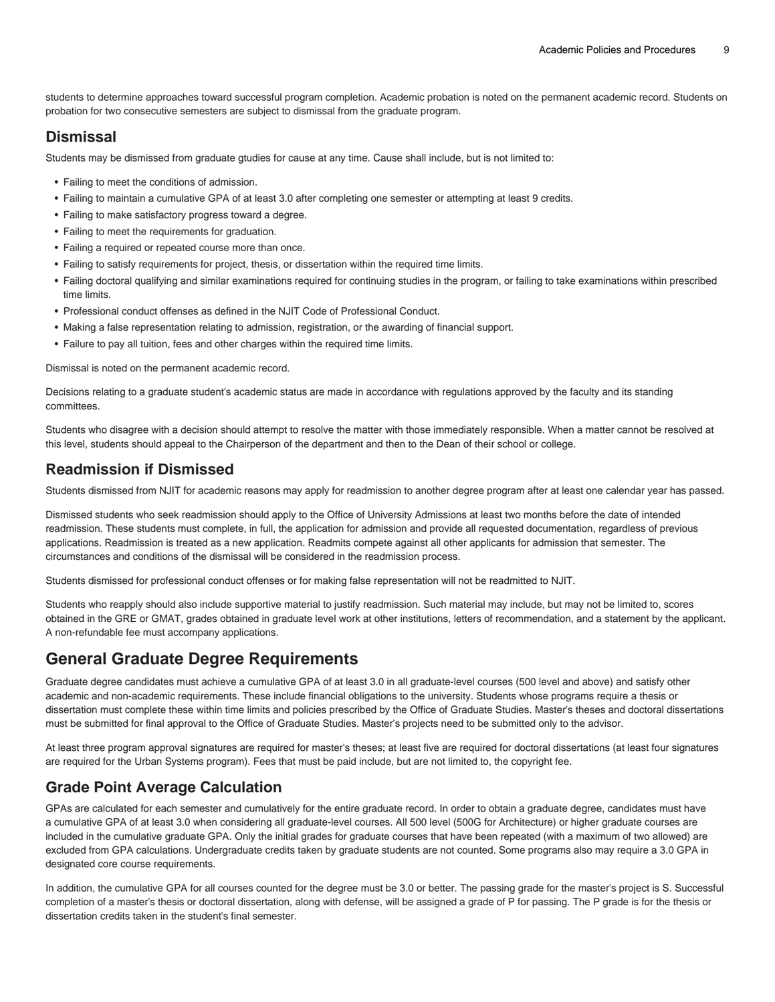students to determine approaches toward successful program completion. Academic probation is noted on the permanent academic record. Students on probation for two consecutive semesters are subject to dismissal from the graduate program.

#### **Dismissal**

Students may be dismissed from graduate gtudies for cause at any time. Cause shall include, but is not limited to:

- Failing to meet the conditions of admission.
- Failing to maintain a cumulative GPA of at least 3.0 after completing one semester or attempting at least 9 credits.
- Failing to make satisfactory progress toward a degree.
- Failing to meet the requirements for graduation.
- Failing a required or repeated course more than once.
- Failing to satisfy requirements for project, thesis, or dissertation within the required time limits.
- Failing doctoral qualifying and similar examinations required for continuing studies in the program, or failing to take examinations within prescribed time limits.
- Professional conduct offenses as defined in the NJIT Code of Professional Conduct.
- Making a false representation relating to admission, registration, or the awarding of financial support.
- Failure to pay all tuition, fees and other charges within the required time limits.

Dismissal is noted on the permanent academic record.

Decisions relating to a graduate student's academic status are made in accordance with regulations approved by the faculty and its standing committees.

Students who disagree with a decision should attempt to resolve the matter with those immediately responsible. When a matter cannot be resolved at this level, students should appeal to the Chairperson of the department and then to the Dean of their school or college.

### **Readmission if Dismissed**

Students dismissed from NJIT for academic reasons may apply for readmission to another degree program after at least one calendar year has passed.

Dismissed students who seek readmission should apply to the Office of University Admissions at least two months before the date of intended readmission. These students must complete, in full, the application for admission and provide all requested documentation, regardless of previous applications. Readmission is treated as a new application. Readmits compete against all other applicants for admission that semester. The circumstances and conditions of the dismissal will be considered in the readmission process.

Students dismissed for professional conduct offenses or for making false representation will not be readmitted to NJIT.

Students who reapply should also include supportive material to justify readmission. Such material may include, but may not be limited to, scores obtained in the GRE or GMAT, grades obtained in graduate level work at other institutions, letters of recommendation, and a statement by the applicant. A non-refundable fee must accompany applications.

# **General Graduate Degree Requirements**

Graduate degree candidates must achieve a cumulative GPA of at least 3.0 in all graduate-level courses (500 level and above) and satisfy other academic and non-academic requirements. These include financial obligations to the university. Students whose programs require a thesis or dissertation must complete these within time limits and policies prescribed by the Office of Graduate Studies. Master's theses and doctoral dissertations must be submitted for final approval to the Office of Graduate Studies. Master's projects need to be submitted only to the advisor.

At least three program approval signatures are required for master's theses; at least five are required for doctoral dissertations (at least four signatures are required for the Urban Systems program). Fees that must be paid include, but are not limited to, the copyright fee.

# **Grade Point Average Calculation**

GPAs are calculated for each semester and cumulatively for the entire graduate record. In order to obtain a graduate degree, candidates must have a cumulative GPA of at least 3.0 when considering all graduate-level courses. All 500 level (500G for Architecture) or higher graduate courses are included in the cumulative graduate GPA. Only the initial grades for graduate courses that have been repeated (with a maximum of two allowed) are excluded from GPA calculations. Undergraduate credits taken by graduate students are not counted. Some programs also may require a 3.0 GPA in designated core course requirements.

In addition, the cumulative GPA for all courses counted for the degree must be 3.0 or better. The passing grade for the master's project is S. Successful completion of a master's thesis or doctoral dissertation, along with defense, will be assigned a grade of P for passing. The P grade is for the thesis or dissertation credits taken in the student's final semester.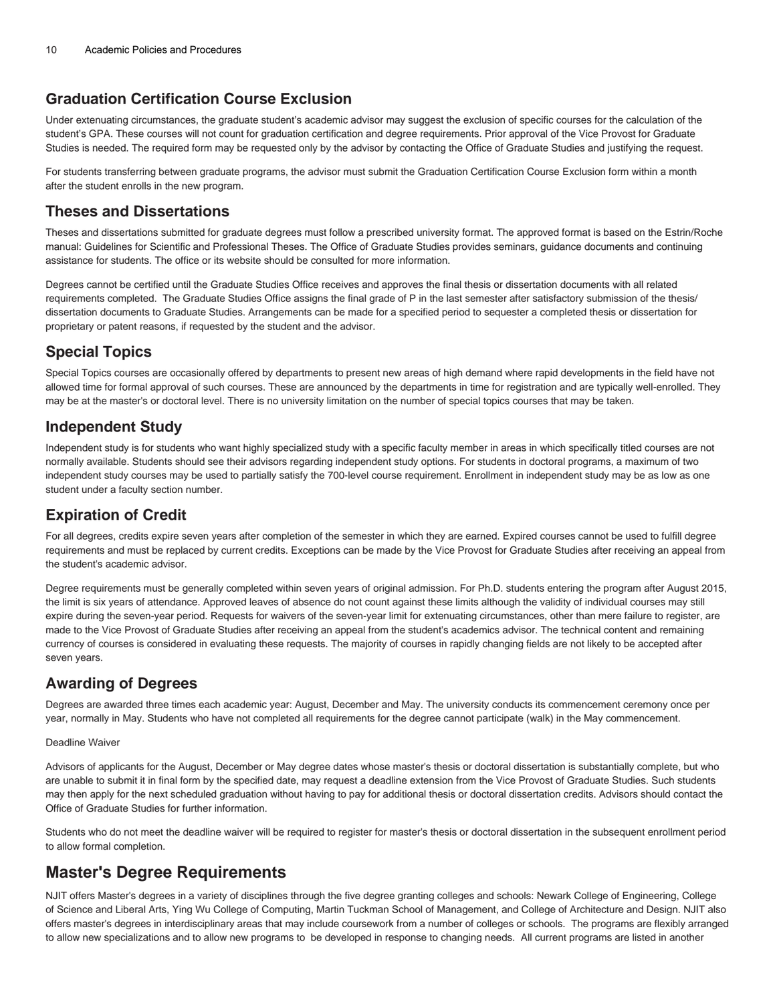### **Graduation Certification Course Exclusion**

Under extenuating circumstances, the graduate student's academic advisor may suggest the exclusion of specific courses for the calculation of the student's GPA. These courses will not count for graduation certification and degree requirements. Prior approval of the Vice Provost for Graduate Studies is needed. The required form may be requested only by the advisor by contacting the Office of Graduate Studies and justifying the request.

For students transferring between graduate programs, the advisor must submit the Graduation Certification Course Exclusion form within a month after the student enrolls in the new program.

### **Theses and Dissertations**

Theses and dissertations submitted for graduate degrees must follow a prescribed university format. The approved format is based on the Estrin/Roche manual: Guidelines for Scientific and Professional Theses. The Office of Graduate Studies provides seminars, guidance documents and continuing assistance for students. The office or its website should be consulted for more information.

Degrees cannot be certified until the Graduate Studies Office receives and approves the final thesis or dissertation documents with all related requirements completed. The Graduate Studies Office assigns the final grade of P in the last semester after satisfactory submission of the thesis/ dissertation documents to Graduate Studies. Arrangements can be made for a specified period to sequester a completed thesis or dissertation for proprietary or patent reasons, if requested by the student and the advisor.

# **Special Topics**

Special Topics courses are occasionally offered by departments to present new areas of high demand where rapid developments in the field have not allowed time for formal approval of such courses. These are announced by the departments in time for registration and are typically well-enrolled. They may be at the master's or doctoral level. There is no university limitation on the number of special topics courses that may be taken.

### **Independent Study**

Independent study is for students who want highly specialized study with a specific faculty member in areas in which specifically titled courses are not normally available. Students should see their advisors regarding independent study options. For students in doctoral programs, a maximum of two independent study courses may be used to partially satisfy the 700-level course requirement. Enrollment in independent study may be as low as one student under a faculty section number.

# **Expiration of Credit**

For all degrees, credits expire seven years after completion of the semester in which they are earned. Expired courses cannot be used to fulfill degree requirements and must be replaced by current credits. Exceptions can be made by the Vice Provost for Graduate Studies after receiving an appeal from the student's academic advisor.

Degree requirements must be generally completed within seven years of original admission. For Ph.D. students entering the program after August 2015, the limit is six years of attendance. Approved leaves of absence do not count against these limits although the validity of individual courses may still expire during the seven-year period. Requests for waivers of the seven-year limit for extenuating circumstances, other than mere failure to register, are made to the Vice Provost of Graduate Studies after receiving an appeal from the student's academics advisor. The technical content and remaining currency of courses is considered in evaluating these requests. The majority of courses in rapidly changing fields are not likely to be accepted after seven years.

# **Awarding of Degrees**

Degrees are awarded three times each academic year: August, December and May. The university conducts its commencement ceremony once per year, normally in May. Students who have not completed all requirements for the degree cannot participate (walk) in the May commencement.

#### Deadline Waiver

Advisors of applicants for the August, December or May degree dates whose master's thesis or doctoral dissertation is substantially complete, but who are unable to submit it in final form by the specified date, may request a deadline extension from the Vice Provost of Graduate Studies. Such students may then apply for the next scheduled graduation without having to pay for additional thesis or doctoral dissertation credits. Advisors should contact the Office of Graduate Studies for further information.

Students who do not meet the deadline waiver will be required to register for master's thesis or doctoral dissertation in the subsequent enrollment period to allow formal completion.

# **Master's Degree Requirements**

NJIT offers Master's degrees in a variety of disciplines through the five degree granting colleges and schools: Newark College of Engineering, College of Science and Liberal Arts, Ying Wu College of Computing, Martin Tuckman School of Management, and College of Architecture and Design. NJIT also offers master's degrees in interdisciplinary areas that may include coursework from a number of colleges or schools. The programs are flexibly arranged to allow new specializations and to allow new programs to be developed in response to changing needs. All current programs are listed in another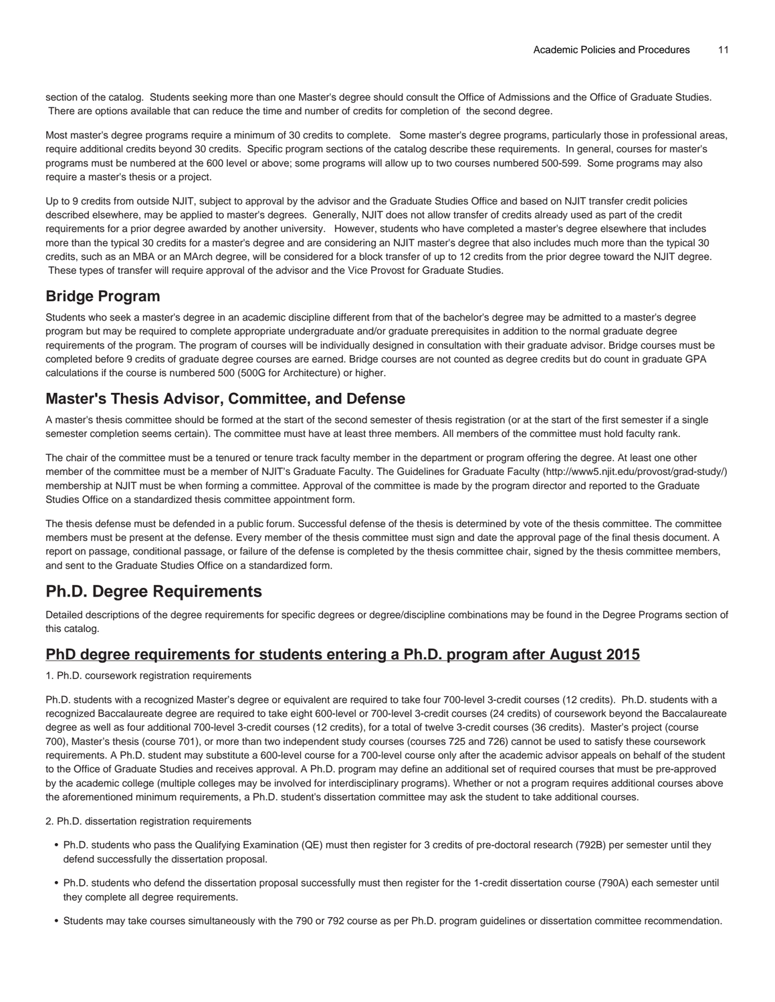section of the catalog. Students seeking more than one Master's degree should consult the Office of Admissions and the Office of Graduate Studies. There are options available that can reduce the time and number of credits for completion of the second degree.

Most master's degree programs require a minimum of 30 credits to complete. Some master's degree programs, particularly those in professional areas, require additional credits beyond 30 credits. Specific program sections of the catalog describe these requirements. In general, courses for master's programs must be numbered at the 600 level or above; some programs will allow up to two courses numbered 500-599. Some programs may also require a master's thesis or a project.

Up to 9 credits from outside NJIT, subject to approval by the advisor and the Graduate Studies Office and based on NJIT transfer credit policies described elsewhere, may be applied to master's degrees. Generally, NJIT does not allow transfer of credits already used as part of the credit requirements for a prior degree awarded by another university. However, students who have completed a master's degree elsewhere that includes more than the typical 30 credits for a master's degree and are considering an NJIT master's degree that also includes much more than the typical 30 credits, such as an MBA or an MArch degree, will be considered for a block transfer of up to 12 credits from the prior degree toward the NJIT degree. These types of transfer will require approval of the advisor and the Vice Provost for Graduate Studies.

# **Bridge Program**

Students who seek a master's degree in an academic discipline different from that of the bachelor's degree may be admitted to a master's degree program but may be required to complete appropriate undergraduate and/or graduate prerequisites in addition to the normal graduate degree requirements of the program. The program of courses will be individually designed in consultation with their graduate advisor. Bridge courses must be completed before 9 credits of graduate degree courses are earned. Bridge courses are not counted as degree credits but do count in graduate GPA calculations if the course is numbered 500 (500G for Architecture) or higher.

#### **Master's Thesis Advisor, Committee, and Defense**

A master's thesis committee should be formed at the start of the second semester of thesis registration (or at the start of the first semester if a single semester completion seems certain). The committee must have at least three members. All members of the committee must hold faculty rank.

The chair of the committee must be a tenured or tenure track faculty member in the department or program offering the degree. At least one other member of the committee must be a member of NJIT's Graduate Faculty. The [Guidelines for Graduate Faculty](http://www5.njit.edu/provost/grad-study/) [\(http://www5.njit.edu/provost/grad-study/\)](http://www5.njit.edu/provost/grad-study/) membership at NJIT must be when forming a committee. Approval of the committee is made by the program director and reported to the Graduate Studies Office on a standardized thesis committee appointment form.

The thesis defense must be defended in a public forum. Successful defense of the thesis is determined by vote of the thesis committee. The committee members must be present at the defense. Every member of the thesis committee must sign and date the approval page of the final thesis document. A report on passage, conditional passage, or failure of the defense is completed by the thesis committee chair, signed by the thesis committee members, and sent to the Graduate Studies Office on a standardized form.

# **Ph.D. Degree Requirements**

Detailed descriptions of the degree requirements for specific degrees or degree/discipline combinations may be found in the Degree Programs section of this catalog.

#### **PhD degree requirements for students entering a Ph.D. program after August 2015**

1. Ph.D. coursework registration requirements

Ph.D. students with a recognized Master's degree or equivalent are required to take four 700-level 3-credit courses (12 credits). Ph.D. students with a recognized Baccalaureate degree are required to take eight 600-level or 700-level 3-credit courses (24 credits) of coursework beyond the Baccalaureate degree as well as four additional 700-level 3-credit courses (12 credits), for a total of twelve 3-credit courses (36 credits). Master's project (course 700), Master's thesis (course 701), or more than two independent study courses (courses 725 and 726) cannot be used to satisfy these coursework requirements. A Ph.D. student may substitute a 600-level course for a 700-level course only after the academic advisor appeals on behalf of the student to the Office of Graduate Studies and receives approval. A Ph.D. program may define an additional set of required courses that must be pre-approved by the academic college (multiple colleges may be involved for interdisciplinary programs). Whether or not a program requires additional courses above the aforementioned minimum requirements, a Ph.D. student's dissertation committee may ask the student to take additional courses.

2. Ph.D. dissertation registration requirements

- Ph.D. students who pass the Qualifying Examination (QE) must then register for 3 credits of pre-doctoral research (792B) per semester until they defend successfully the dissertation proposal.
- Ph.D. students who defend the dissertation proposal successfully must then register for the 1-credit dissertation course (790A) each semester until they complete all degree requirements.
- Students may take courses simultaneously with the 790 or 792 course as per Ph.D. program guidelines or dissertation committee recommendation.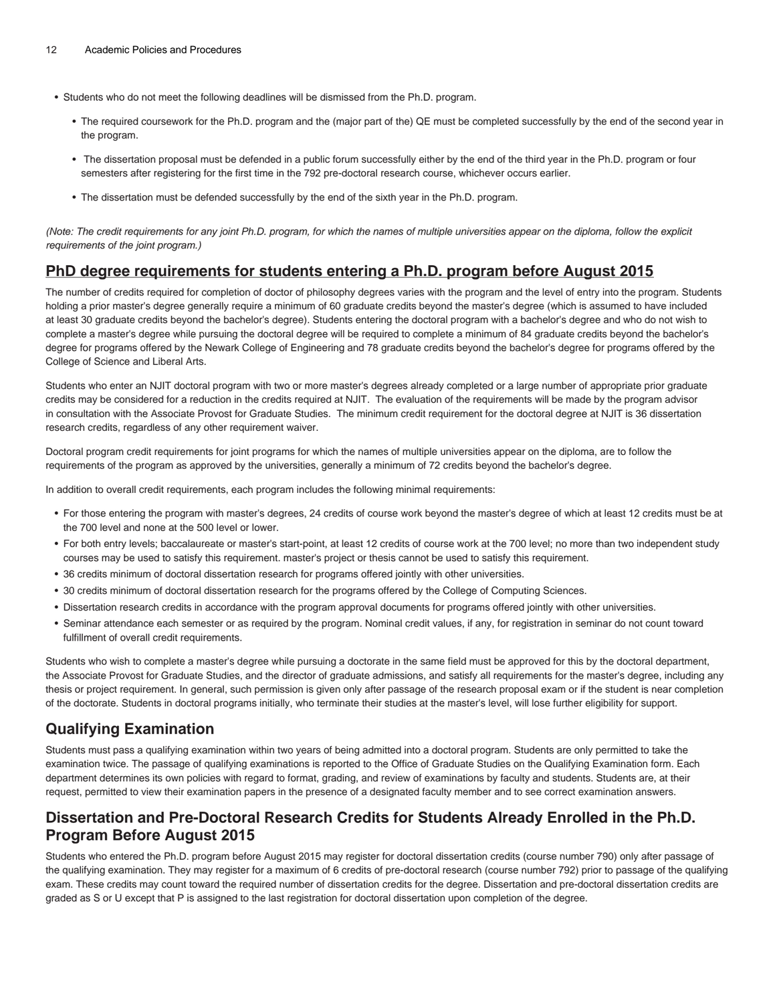- Students who do not meet the following deadlines will be dismissed from the Ph.D. program.
	- The required coursework for the Ph.D. program and the (major part of the) QE must be completed successfully by the end of the second year in the program.
	- The dissertation proposal must be defended in a public forum successfully either by the end of the third year in the Ph.D. program or four semesters after registering for the first time in the 792 pre-doctoral research course, whichever occurs earlier.
	- The dissertation must be defended successfully by the end of the sixth year in the Ph.D. program.

(Note: The credit requirements for any joint Ph.D. program, for which the names of multiple universities appear on the diploma, follow the explicit requirements of the joint program.)

#### **PhD degree requirements for students entering a Ph.D. program before August 2015**

The number of credits required for completion of doctor of philosophy degrees varies with the program and the level of entry into the program. Students holding a prior master's degree generally require a minimum of 60 graduate credits beyond the master's degree (which is assumed to have included at least 30 graduate credits beyond the bachelor's degree). Students entering the doctoral program with a bachelor's degree and who do not wish to complete a master's degree while pursuing the doctoral degree will be required to complete a minimum of 84 graduate credits beyond the bachelor's degree for programs offered by the Newark College of Engineering and 78 graduate credits beyond the bachelor's degree for programs offered by the College of Science and Liberal Arts.

Students who enter an NJIT doctoral program with two or more master's degrees already completed or a large number of appropriate prior graduate credits may be considered for a reduction in the credits required at NJIT. The evaluation of the requirements will be made by the program advisor in consultation with the Associate Provost for Graduate Studies. The minimum credit requirement for the doctoral degree at NJIT is 36 dissertation research credits, regardless of any other requirement waiver.

Doctoral program credit requirements for joint programs for which the names of multiple universities appear on the diploma, are to follow the requirements of the program as approved by the universities, generally a minimum of 72 credits beyond the bachelor's degree.

In addition to overall credit requirements, each program includes the following minimal requirements:

- For those entering the program with master's degrees, 24 credits of course work beyond the master's degree of which at least 12 credits must be at the 700 level and none at the 500 level or lower.
- For both entry levels; baccalaureate or master's start-point, at least 12 credits of course work at the 700 level; no more than two independent study courses may be used to satisfy this requirement. master's project or thesis cannot be used to satisfy this requirement.
- 36 credits minimum of doctoral dissertation research for programs offered jointly with other universities.
- 30 credits minimum of doctoral dissertation research for the programs offered by the College of Computing Sciences.
- Dissertation research credits in accordance with the program approval documents for programs offered jointly with other universities.
- Seminar attendance each semester or as required by the program. Nominal credit values, if any, for registration in seminar do not count toward fulfillment of overall credit requirements.

Students who wish to complete a master's degree while pursuing a doctorate in the same field must be approved for this by the doctoral department, the Associate Provost for Graduate Studies, and the director of graduate admissions, and satisfy all requirements for the master's degree, including any thesis or project requirement. In general, such permission is given only after passage of the research proposal exam or if the student is near completion of the doctorate. Students in doctoral programs initially, who terminate their studies at the master's level, will lose further eligibility for support.

### **Qualifying Examination**

Students must pass a qualifying examination within two years of being admitted into a doctoral program. Students are only permitted to take the examination twice. The passage of qualifying examinations is reported to the Office of Graduate Studies on the Qualifying Examination form. Each department determines its own policies with regard to format, grading, and review of examinations by faculty and students. Students are, at their request, permitted to view their examination papers in the presence of a designated faculty member and to see correct examination answers.

### **Dissertation and Pre-Doctoral Research Credits for Students Already Enrolled in the Ph.D. Program Before August 2015**

Students who entered the Ph.D. program before August 2015 may register for doctoral dissertation credits (course number 790) only after passage of the qualifying examination. They may register for a maximum of 6 credits of pre-doctoral research (course number 792) prior to passage of the qualifying exam. These credits may count toward the required number of dissertation credits for the degree. Dissertation and pre-doctoral dissertation credits are graded as S or U except that P is assigned to the last registration for doctoral dissertation upon completion of the degree.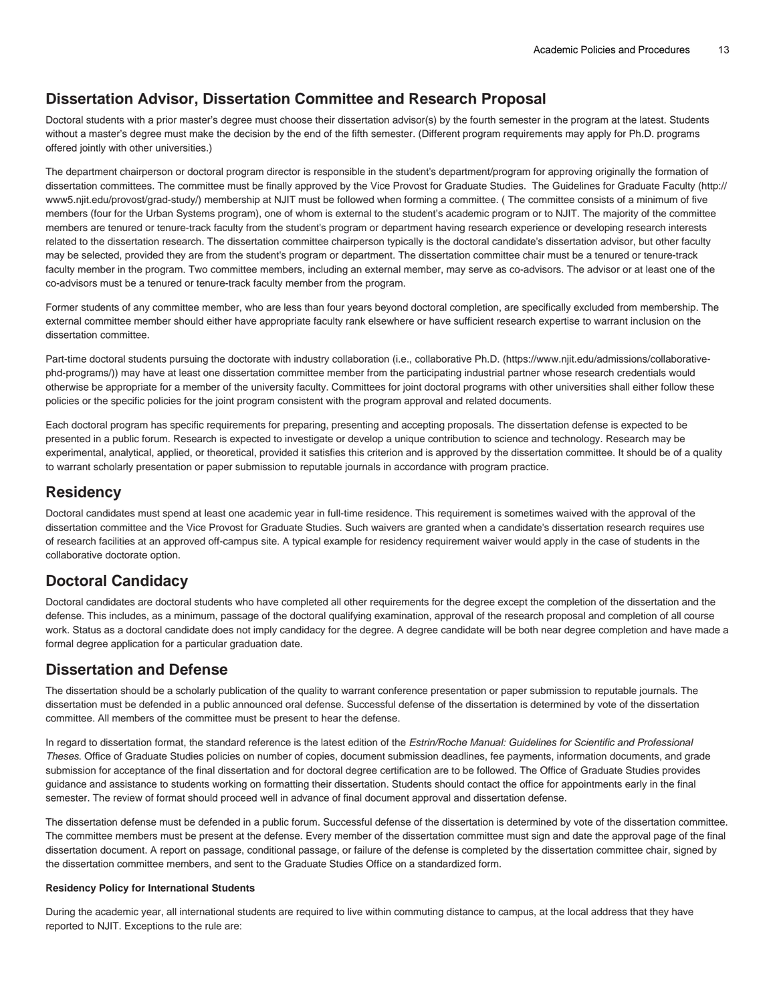### **Dissertation Advisor, Dissertation Committee and Research Proposal**

Doctoral students with a prior master's degree must choose their dissertation advisor(s) by the fourth semester in the program at the latest. Students without a master's degree must make the decision by the end of the fifth semester. (Different program requirements may apply for Ph.D. programs offered jointly with other universities.)

The department chairperson or doctoral program director is responsible in the student's department/program for approving originally the formation of dissertation committees. The committee must be finally approved by the Vice Provost for Graduate Studies. The [Guidelines for Graduate Faculty](http://www5.njit.edu/provost/grad-study/) ([http://](http://www5.njit.edu/provost/grad-study/) [www5.njit.edu/provost/grad-study/](http://www5.njit.edu/provost/grad-study/)) membership at NJIT must be followed when forming a committee. ( The committee consists of a minimum of five members (four for the Urban Systems program), one of whom is external to the student's academic program or to NJIT. The majority of the committee members are tenured or tenure-track faculty from the student's program or department having research experience or developing research interests related to the dissertation research. The dissertation committee chairperson typically is the doctoral candidate's dissertation advisor, but other faculty may be selected, provided they are from the student's program or department. The dissertation committee chair must be a tenured or tenure-track faculty member in the program. Two committee members, including an external member, may serve as co-advisors. The advisor or at least one of the co-advisors must be a tenured or tenure-track faculty member from the program.

Former students of any committee member, who are less than four years beyond doctoral completion, are specifically excluded from membership. The external committee member should either have appropriate faculty rank elsewhere or have sufficient research expertise to warrant inclusion on the dissertation committee.

Part-time doctoral students pursuing the doctorate with industry collaboration (i.e., [collaborative Ph.D.](https://www.njit.edu/admissions/collaborative-phd-programs/) ([https://www.njit.edu/admissions/collaborative](https://www.njit.edu/admissions/collaborative-phd-programs/)[phd-programs/](https://www.njit.edu/admissions/collaborative-phd-programs/))) may have at least one dissertation committee member from the participating industrial partner whose research credentials would otherwise be appropriate for a member of the university faculty. Committees for joint doctoral programs with other universities shall either follow these policies or the specific policies for the joint program consistent with the program approval and related documents.

Each doctoral program has specific requirements for preparing, presenting and accepting proposals. The dissertation defense is expected to be presented in a public forum. Research is expected to investigate or develop a unique contribution to science and technology. Research may be experimental, analytical, applied, or theoretical, provided it satisfies this criterion and is approved by the dissertation committee. It should be of a quality to warrant scholarly presentation or paper submission to reputable journals in accordance with program practice.

#### **Residency**

Doctoral candidates must spend at least one academic year in full-time residence. This requirement is sometimes waived with the approval of the dissertation committee and the Vice Provost for Graduate Studies. Such waivers are granted when a candidate's dissertation research requires use of research facilities at an approved off-campus site. A typical example for residency requirement waiver would apply in the case of students in the collaborative doctorate option.

### **Doctoral Candidacy**

Doctoral candidates are doctoral students who have completed all other requirements for the degree except the completion of the dissertation and the defense. This includes, as a minimum, passage of the doctoral qualifying examination, approval of the research proposal and completion of all course work. Status as a doctoral candidate does not imply candidacy for the degree. A degree candidate will be both near degree completion and have made a formal degree application for a particular graduation date.

#### **Dissertation and Defense**

The dissertation should be a scholarly publication of the quality to warrant conference presentation or paper submission to reputable journals. The dissertation must be defended in a public announced oral defense. Successful defense of the dissertation is determined by vote of the dissertation committee. All members of the committee must be present to hear the defense.

In regard to dissertation format, the standard reference is the latest edition of the Estrin/Roche Manual: Guidelines for Scientific and Professional Theses. Office of Graduate Studies policies on number of copies, document submission deadlines, fee payments, information documents, and grade submission for acceptance of the final dissertation and for doctoral degree certification are to be followed. The Office of Graduate Studies provides guidance and assistance to students working on formatting their dissertation. Students should contact the office for appointments early in the final semester. The review of format should proceed well in advance of final document approval and dissertation defense.

The dissertation defense must be defended in a public forum. Successful defense of the dissertation is determined by vote of the dissertation committee. The committee members must be present at the defense. Every member of the dissertation committee must sign and date the approval page of the final dissertation document. A report on passage, conditional passage, or failure of the defense is completed by the dissertation committee chair, signed by the dissertation committee members, and sent to the Graduate Studies Office on a standardized form.

#### **Residency Policy for International Students**

During the academic year, all international students are required to live within commuting distance to campus, at the local address that they have reported to NJIT. Exceptions to the rule are: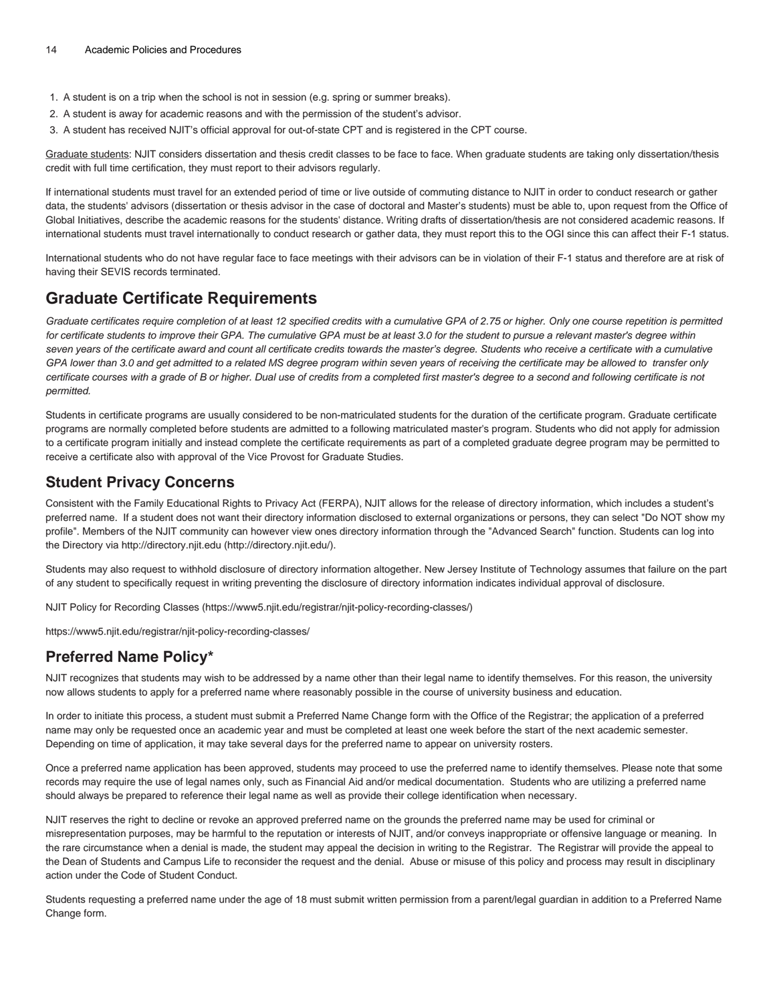- 1. A student is on a trip when the school is not in session (e.g. spring or summer breaks).
- 2. A student is away for academic reasons and with the permission of the student's advisor.
- 3. A student has received NJIT's official approval for out-of-state CPT and is registered in the CPT course.

Graduate students: NJIT considers dissertation and thesis credit classes to be face to face. When graduate students are taking only dissertation/thesis credit with full time certification, they must report to their advisors regularly.

If international students must travel for an extended period of time or live outside of commuting distance to NJIT in order to conduct research or gather data, the students' advisors (dissertation or thesis advisor in the case of doctoral and Master's students) must be able to, upon request from the Office of Global Initiatives, describe the academic reasons for the students' distance. Writing drafts of dissertation/thesis are not considered academic reasons. If international students must travel internationally to conduct research or gather data, they must report this to the OGI since this can affect their F-1 status.

International students who do not have regular face to face meetings with their advisors can be in violation of their F-1 status and therefore are at risk of having their SEVIS records terminated.

# **Graduate Certificate Requirements**

Graduate certificates require completion of at least 12 specified credits with a cumulative GPA of 2.75 or higher. Only one course repetition is permitted for certificate students to improve their GPA. The cumulative GPA must be at least 3.0 for the student to pursue a relevant master's degree within seven years of the certificate award and count all certificate credits towards the master's degree. Students who receive a certificate with a cumulative GPA lower than 3.0 and get admitted to a related MS degree program within seven years of receiving the certificate may be allowed to transfer only certificate courses with a grade of B or higher. Dual use of credits from a completed first master's degree to a second and following certificate is not permitted.

Students in certificate programs are usually considered to be non-matriculated students for the duration of the certificate program. Graduate certificate programs are normally completed before students are admitted to a following matriculated master's program. Students who did not apply for admission to a certificate program initially and instead complete the certificate requirements as part of a completed graduate degree program may be permitted to receive a certificate also with approval of the Vice Provost for Graduate Studies.

#### **Student Privacy Concerns**

Consistent with the Family Educational Rights to Privacy Act (FERPA), NJIT allows for the release of directory information, which includes a student's preferred name. If a student does not want their directory information disclosed to external organizations or persons, they can select "Do NOT show my profile". Members of the NJIT community can however view ones directory information through the "Advanced Search" function. Students can log into the Directory via [http://directory.njit.edu](http://directory.njit.edu/) ([http://directory.njit.edu/\)](http://directory.njit.edu/).

Students may also request to withhold disclosure of directory information altogether. New Jersey Institute of Technology assumes that failure on the part of any student to specifically request in writing preventing the disclosure of directory information indicates individual approval of disclosure.

[NJIT Policy for Recording Classes](https://www5.njit.edu/registrar/njit-policy-recording-classes/) [\(https://www5.njit.edu/registrar/njit-policy-recording-classes/\)](https://www5.njit.edu/registrar/njit-policy-recording-classes/)

<https://www5.njit.edu/registrar/njit-policy-recording-classes/>

### **Preferred Name Policy\***

NJIT recognizes that students may wish to be addressed by a name other than their legal name to identify themselves. For this reason, the university now allows students to apply for a preferred name where reasonably possible in the course of university business and education.

In order to initiate this process, a student must submit a Preferred Name Change form with the Office of the Registrar; the application of a preferred name may only be requested once an academic year and must be completed at least one week before the start of the next academic semester. Depending on time of application, it may take several days for the preferred name to appear on university rosters.

Once a preferred name application has been approved, students may proceed to use the preferred name to identify themselves. Please note that some records may require the use of legal names only, such as Financial Aid and/or medical documentation. Students who are utilizing a preferred name should always be prepared to reference their legal name as well as provide their college identification when necessary.

NJIT reserves the right to decline or revoke an approved preferred name on the grounds the preferred name may be used for criminal or misrepresentation purposes, may be harmful to the reputation or interests of NJIT, and/or conveys inappropriate or offensive language or meaning. In the rare circumstance when a denial is made, the student may appeal the decision in writing to the Registrar. The Registrar will provide the appeal to the Dean of Students and Campus Life to reconsider the request and the denial. Abuse or misuse of this policy and process may result in disciplinary action under the Code of Student Conduct.

Students requesting a preferred name under the age of 18 must submit written permission from a parent/legal guardian in addition to a Preferred Name Change form.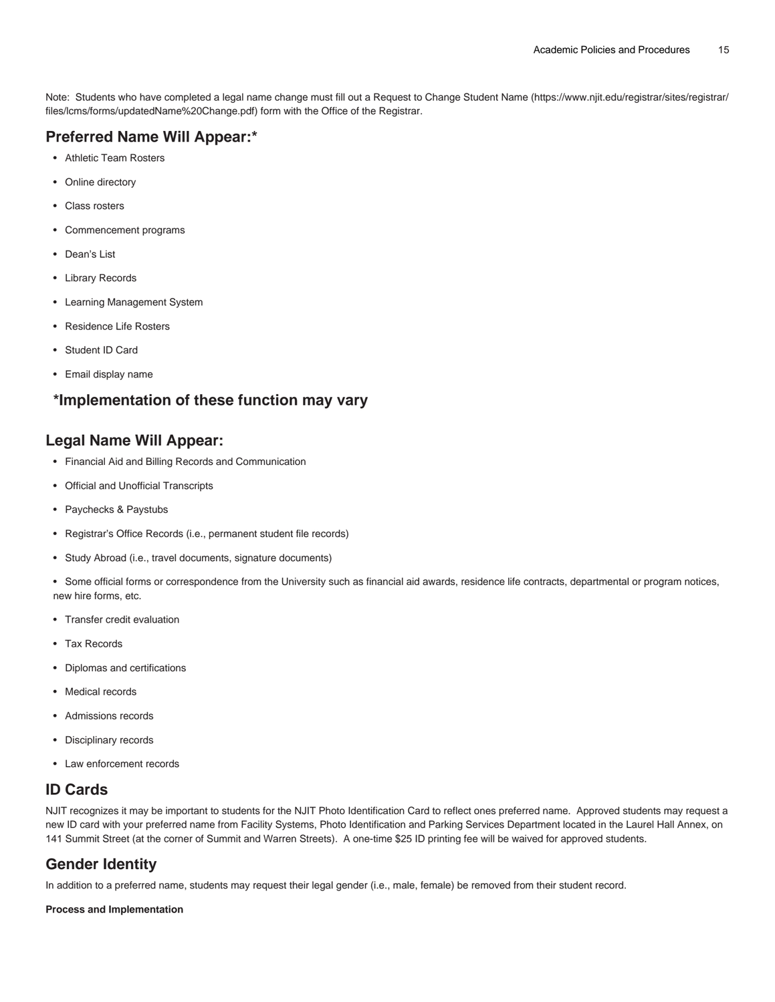Note: Students who have completed a legal name change must fill out a [Request to Change Student Name](https://www.njit.edu/registrar/sites/registrar/files/lcms/forms/updatedName%20Change.pdf) ([https://www.njit.edu/registrar/sites/registrar/](https://www.njit.edu/registrar/sites/registrar/files/lcms/forms/updatedName%20Change.pdf) [files/lcms/forms/updatedName%20Change.pdf\)](https://www.njit.edu/registrar/sites/registrar/files/lcms/forms/updatedName%20Change.pdf) form with the Office of the Registrar.

# **Preferred Name Will Appear:\***

- Athletic Team Rosters
- Online directory
- Class rosters
- Commencement programs
- Dean's List
- Library Records
- Learning Management System
- Residence Life Rosters
- Student ID Card
- Email display name

### **\*Implementation of these function may vary**

#### **Legal Name Will Appear:**

- Financial Aid and Billing Records and Communication
- Official and Unofficial Transcripts
- Paychecks & Paystubs
- Registrar's Office Records (i.e., permanent student file records)
- Study Abroad (i.e., travel documents, signature documents)

• Some official forms or correspondence from the University such as financial aid awards, residence life contracts, departmental or program notices, new hire forms, etc.

- Transfer credit evaluation
- Tax Records
- Diplomas and certifications
- Medical records
- Admissions records
- Disciplinary records
- Law enforcement records

### **ID Cards**

NJIT recognizes it may be important to students for the NJIT Photo Identification Card to reflect ones preferred name. Approved students may request a new ID card with your preferred name from Facility Systems, Photo Identification and Parking Services Department located in the Laurel Hall Annex, on 141 Summit Street (at the corner of Summit and Warren Streets). A one-time \$25 ID printing fee will be waived for approved students.

# **Gender Identity**

In addition to a preferred name, students may request their legal gender (i.e., male, female) be removed from their student record.

#### **Process and Implementation**